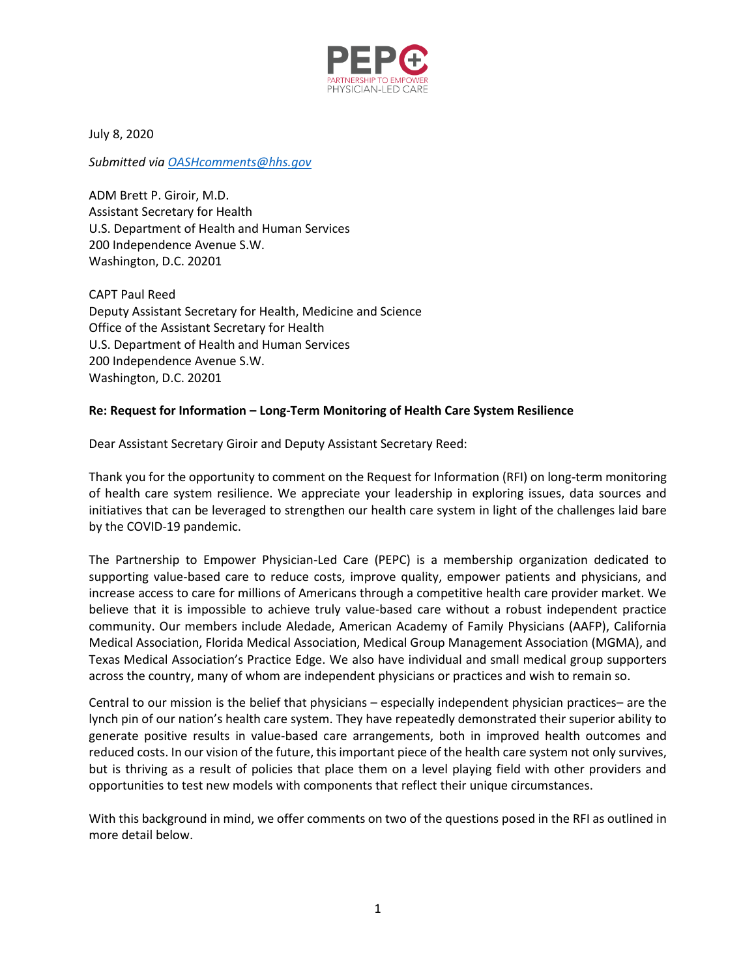

July 8, 2020

*Submitted via [OASHcomments@hhs.gov](mailto:OASHcomments@hhs.gov)*

ADM Brett P. Giroir, M.D. Assistant Secretary for Health U.S. Department of Health and Human Services 200 Independence Avenue S.W. Washington, D.C. 20201

CAPT Paul Reed Deputy Assistant Secretary for Health, Medicine and Science Office of the Assistant Secretary for Health U.S. Department of Health and Human Services 200 Independence Avenue S.W. Washington, D.C. 20201

## **Re: Request for Information – Long-Term Monitoring of Health Care System Resilience**

Dear Assistant Secretary Giroir and Deputy Assistant Secretary Reed:

Thank you for the opportunity to comment on the Request for Information (RFI) on long-term monitoring of health care system resilience. We appreciate your leadership in exploring issues, data sources and initiatives that can be leveraged to strengthen our health care system in light of the challenges laid bare by the COVID-19 pandemic.

The Partnership to Empower Physician-Led Care (PEPC) is a membership organization dedicated to supporting value-based care to reduce costs, improve quality, empower patients and physicians, and increase access to care for millions of Americans through a competitive health care provider market. We believe that it is impossible to achieve truly value-based care without a robust independent practice community. Our members include Aledade, American Academy of Family Physicians (AAFP), California Medical Association, Florida Medical Association, Medical Group Management Association (MGMA), and Texas Medical Association's Practice Edge. We also have individual and small medical group supporters across the country, many of whom are independent physicians or practices and wish to remain so.

Central to our mission is the belief that physicians – especially independent physician practices– are the lynch pin of our nation's health care system. They have repeatedly demonstrated their superior ability to generate positive results in value-based care arrangements, both in improved health outcomes and reduced costs. In our vision of the future, this important piece of the health care system not only survives, but is thriving as a result of policies that place them on a level playing field with other providers and opportunities to test new models with components that reflect their unique circumstances.

With this background in mind, we offer comments on two of the questions posed in the RFI as outlined in more detail below.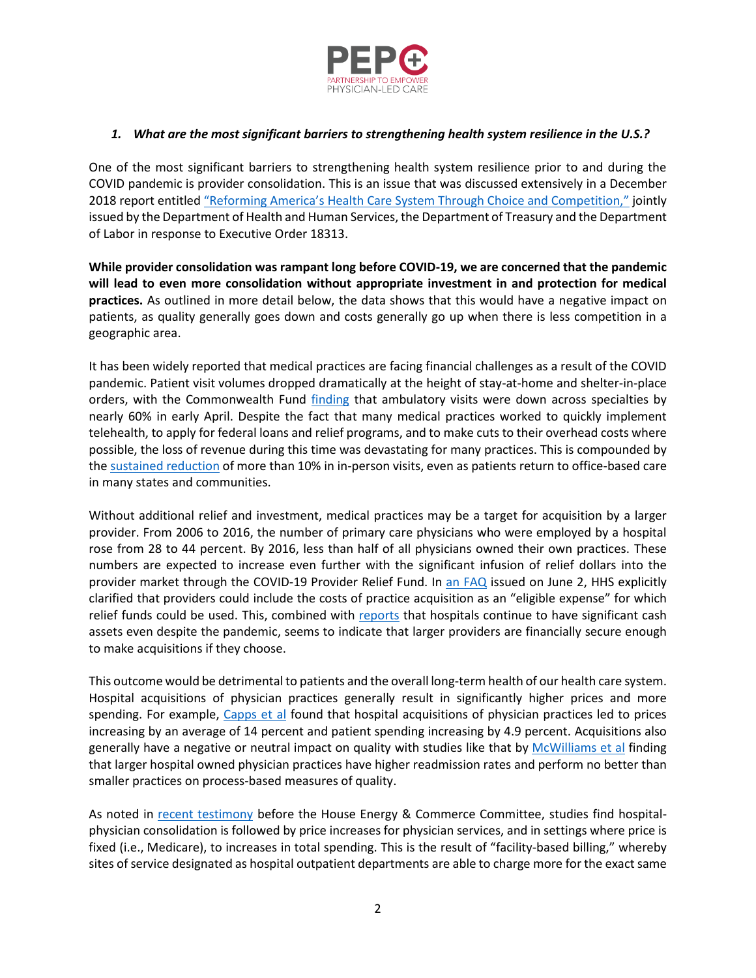

## *1. What are the most significant barriers to strengthening health system resilience in the U.S.?*

One of the most significant barriers to strengthening health system resilience prior to and during the COVID pandemic is provider consolidation. This is an issue that was discussed extensively in a December 2018 report entitled ["Reforming America's Health Care System Through Choice and Competition,"](https://www.hhs.gov/sites/default/files/Reforming-Americas-Healthcare-System-Through-Choice-and-Competition.pdf) jointly issued by the Department of Health and Human Services, the Department of Treasury and the Department of Labor in response to Executive Order 18313.

**While provider consolidation was rampant long before COVID-19, we are concerned that the pandemic will lead to even more consolidation without appropriate investment in and protection for medical practices.** As outlined in more detail below, the data shows that this would have a negative impact on patients, as quality generally goes down and costs generally go up when there is less competition in a geographic area.

It has been widely reported that medical practices are facing financial challenges as a result of the COVID pandemic. Patient visit volumes dropped dramatically at the height of stay-at-home and shelter-in-place orders, with the Commonwealth Fund [finding](https://www.commonwealthfund.org/publications/2020/apr/impact-covid-19-outpatient-visits) that ambulatory visits were down across specialties by nearly 60% in early April. Despite the fact that many medical practices worked to quickly implement telehealth, to apply for federal loans and relief programs, and to make cuts to their overhead costs where possible, the loss of revenue during this time was devastating for many practices. This is compounded by th[e sustained reduction](https://www.commonwealthfund.org/publications/2020/jun/impact-covid-19-pandemic-outpatient-visits-practices-adapting-new-normal) of more than 10% in in-person visits, even as patients return to office-based care in many states and communities.

Without additional relief and investment, medical practices may be a target for acquisition by a larger provider. From 2006 to 2016, the number of primary care physicians who were employed by a hospital rose from 28 to 44 percent. By 2016, less than half of all physicians owned their own practices. These numbers are expected to increase even further with the significant infusion of relief dollars into the provider market through the COVID-19 Provider Relief Fund. In [an FAQ](https://www.hhs.gov/sites/default/files/provider-relief-fund-general-distribution-faqs.pdf) issued on June 2, HHS explicitly clarified that providers could include the costs of practice acquisition as an "eligible expense" for which relief funds could be used. This, combined with [reports](https://www.healthcaredive.com/news/nonprofit-health-systems-despite-huge-cash-reserves-get-billions-in-car/580078/) that hospitals continue to have significant cash assets even despite the pandemic, seems to indicate that larger providers are financially secure enough to make acquisitions if they choose.

This outcome would be detrimental to patients and the overall long-term health of our health care system. Hospital acquisitions of physician practices generally result in significantly higher prices and more spending. For example, [Capps et al](https://economics.mit.edu/files/12747#:~:text=Nearly%20half%20of%20this%20increase,patient%20spending%20by%204.9%20percent.) found that hospital acquisitions of physician practices led to prices increasing by an average of 14 percent and patient spending increasing by 4.9 percent. Acquisitions also generally have a negative or neutral impact on quality with studies like that by [McWilliams et al](https://jamanetwork.com/journals/jamainternalmedicine/article-abstract/1726984#:~:text=Delivery%20System%20Integration%20and%20Health%20Care%20Spending%20and%20Quality%20for%20Medicare%20Beneficiaries,-J.&text=Importance%20The%20Medicare%20accountable%20care,while%20improving%20quality%20of%20care.) finding that larger hospital owned physician practices have higher readmission rates and perform no better than smaller practices on process-based measures of quality.

As noted in [recent testimony](https://energycommerce.house.gov/committee-activity/hearings/hearing-on-examining-the-impact-of-health-care-consolidation) before the House Energy & Commerce Committee, studies find hospitalphysician consolidation is followed by price increases for physician services, and in settings where price is fixed (i.e., Medicare), to increases in total spending. This is the result of "facility-based billing," whereby sites of service designated as hospital outpatient departments are able to charge more for the exact same